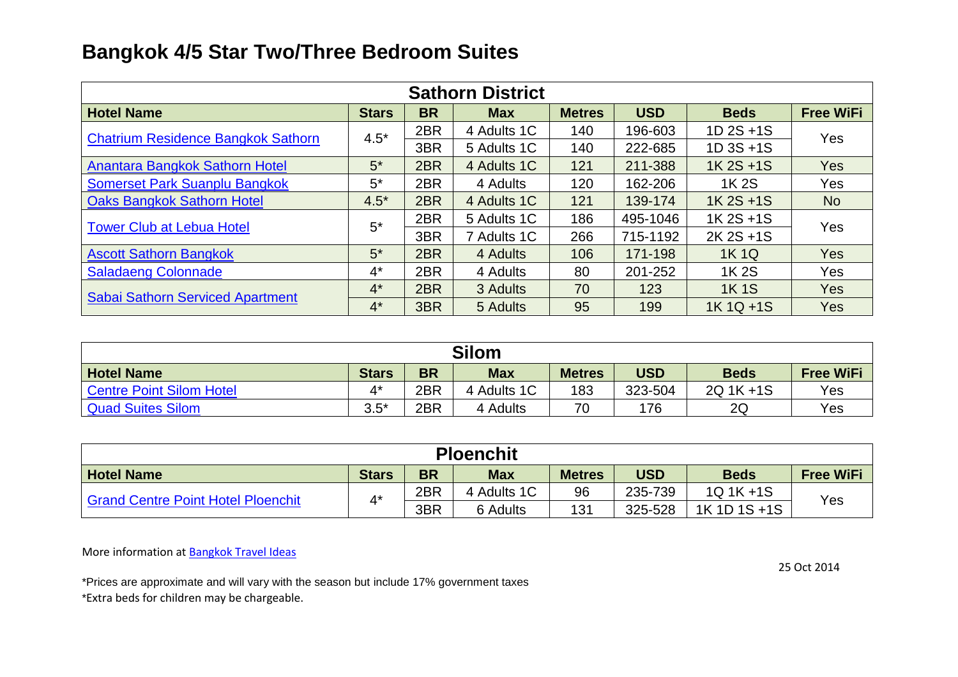## **Bangkok 4/5 Star Two/Three Bedroom Suites**

| <b>Sathorn District</b>                   |              |           |             |               |            |             |                  |  |  |
|-------------------------------------------|--------------|-----------|-------------|---------------|------------|-------------|------------------|--|--|
| <b>Hotel Name</b>                         | <b>Stars</b> | <b>BR</b> | <b>Max</b>  | <b>Metres</b> | <b>USD</b> | <b>Beds</b> | <b>Free WiFi</b> |  |  |
|                                           | $4.5*$       | 2BR       | 4 Adults 1C | 140           | 196-603    | 1D 2S +1S   | Yes              |  |  |
| <b>Chatrium Residence Bangkok Sathorn</b> |              | 3BR       | 5 Adults 1C | 140           | 222-685    | 1D 3S +1S   |                  |  |  |
| Anantara Bangkok Sathorn Hotel            | $5*$         | 2BR       | 4 Adults 1C | 121           | 211-388    | 1K 2S +1S   | <b>Yes</b>       |  |  |
| Somerset Park Suanplu Bangkok             | $5^*$        | 2BR       | 4 Adults    | 120           | 162-206    | 1K 2S       | Yes              |  |  |
| <b>Oaks Bangkok Sathorn Hotel</b>         | $4.5*$       | 2BR       | 4 Adults 1C | 121           | 139-174    | 1K 2S +1S   | <b>No</b>        |  |  |
| <b>Tower Club at Lebua Hotel</b>          | $5^*$        | 2BR       | 5 Adults 1C | 186           | 495-1046   | 1K 2S +1S   | Yes              |  |  |
|                                           |              | 3BR       | 7 Adults 1C | 266           | 715-1192   | 2K 2S +1S   |                  |  |  |
| <b>Ascott Sathorn Bangkok</b>             | $5*$         | 2BR       | 4 Adults    | 106           | 171-198    | <b>1K1Q</b> | <b>Yes</b>       |  |  |
| <b>Saladaeng Colonnade</b>                | $4^*$        | 2BR       | 4 Adults    | 80            | 201-252    | 1K 2S       | Yes              |  |  |
|                                           | $4^*$        | 2BR       | 3 Adults    | 70            | 123        | <b>1K1S</b> | <b>Yes</b>       |  |  |
| <b>Sabai Sathorn Serviced Apartment</b>   | $4^*$        | 3BR       | 5 Adults    | 95            | 199        | 1K 1Q +1S   | Yes              |  |  |

| <b>Silom</b>             |              |           |             |               |            |             |                  |  |  |
|--------------------------|--------------|-----------|-------------|---------------|------------|-------------|------------------|--|--|
| <b>Hotel Name</b>        | <b>Stars</b> | <b>BR</b> | <b>Max</b>  | <b>Metres</b> | <b>USD</b> | <b>Beds</b> | <b>Free WiFi</b> |  |  |
| Centre Point Silom Hotel |              | 2BR       | 4 Adults 1C | 183           | 323-504    | 2Q 1K +1S   | Yes              |  |  |
| <b>Quad Suites Silom</b> | $3.5*$       | 2BR       | 4 Adults    | 70            | 176        | 2Q          | Yes              |  |  |

| <b>Ploenchit</b>                          |              |           |             |               |            |              |                  |  |  |
|-------------------------------------------|--------------|-----------|-------------|---------------|------------|--------------|------------------|--|--|
| <b>Hotel Name</b>                         | <b>Stars</b> | <b>BR</b> | <b>Max</b>  | <b>Metres</b> | <b>USD</b> | <b>Beds</b>  | <b>Free WiFi</b> |  |  |
| <b>Grand Centre Point Hotel Ploenchit</b> | $4^*$        | 2BR       | 4 Adults 1C | 96            | 235-739    | 1Q 1K +1S    |                  |  |  |
|                                           |              | 3BR       | 6 Adults    | 131           | 325-528    | 1K 1D 1S +1S | Yes              |  |  |

More information at **Bangkok Travel Ideas** 

\*Prices are approximate and will vary with the season but include 17% government taxes \*Extra beds for children may be chargeable.

25 Oct 2014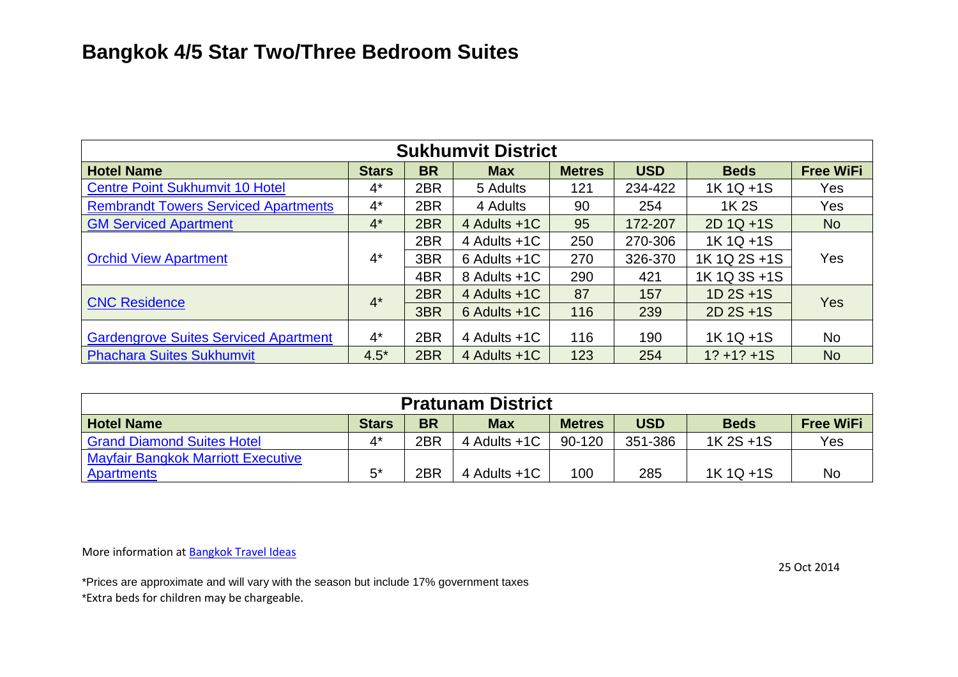| <b>Sukhumvit District</b>                    |              |           |                  |               |            |                |                  |  |  |
|----------------------------------------------|--------------|-----------|------------------|---------------|------------|----------------|------------------|--|--|
| <b>Hotel Name</b>                            | <b>Stars</b> | <b>BR</b> | <b>Max</b>       | <b>Metres</b> | <b>USD</b> | <b>Beds</b>    | <b>Free WiFi</b> |  |  |
| <b>Centre Point Sukhumvit 10 Hotel</b>       | $4^*$        | 2BR       | 5 Adults         | 121           | 234-422    | 1K 1Q +1S      | Yes              |  |  |
| <b>Rembrandt Towers Serviced Apartments</b>  | $4^*$        | 2BR       | 4 Adults         | 90            | 254        | 1K 2S          | Yes              |  |  |
| <b>GM Serviced Apartment</b>                 | $4^*$        | 2BR       | 4 Adults +1C     | 95            | 172-207    | 2D 1Q +1S      | <b>No</b>        |  |  |
|                                              |              | 2BR       | 4 Adults +1C     | 250           | 270-306    | 1K 1Q +1S      |                  |  |  |
| <b>Orchid View Apartment</b>                 | $4^*$        | 3BR       | $6$ Adults $+1C$ | 270           | 326-370    | 1K 1Q 2S +1S   | Yes              |  |  |
|                                              |              | 4BR       | 8 Adults +1C     | 290           | 421        | 1K 1Q 3S +1S   |                  |  |  |
| <b>CNC Residence</b>                         | $4^*$        | 2BR       | 4 Adults +1C     | 87            | 157        | $1D$ 2S +1S    | <b>Yes</b>       |  |  |
|                                              |              | 3BR       | $6$ Adults $+1C$ | 116           | 239        | $2D$ 2S +1S    |                  |  |  |
| <b>Gardengrove Suites Serviced Apartment</b> | $4^*$        | 2BR       | 4 Adults +1C     | 116           | 190        | 1K 1Q +1S      | <b>No</b>        |  |  |
| <b>Phachara Suites Sukhumvit</b>             | $4.5*$       | 2BR       | 4 Adults +1C     | 123           | 254        | $1? + 1? + 1S$ | <b>No</b>        |  |  |

| <b>Pratunam District</b>                  |              |           |              |               |            |             |                  |  |  |
|-------------------------------------------|--------------|-----------|--------------|---------------|------------|-------------|------------------|--|--|
| <b>Hotel Name</b>                         | <b>Stars</b> | <b>BR</b> | <b>Max</b>   | <b>Metres</b> | <b>USD</b> | <b>Beds</b> | <b>Free WiFi</b> |  |  |
| <b>Grand Diamond Suites Hotel</b>         | $4^*$        | 2BR       | 4 Adults +1C | 90-120        | 351-386    | 1K 2S +1S   | Yes              |  |  |
| <b>Mayfair Bangkok Marriott Executive</b> |              |           |              |               |            |             |                  |  |  |
| Apartments                                | $5^*$        | 2BR       | 4 Adults +1C | 100           | 285        | 1K 1Q +1S   | <b>No</b>        |  |  |

More information at **Bangkok Travel Ideas** 

\*Prices are approximate and will vary with the season but include 17% government taxes \*Extra beds for children may be chargeable.

25 Oct 2014